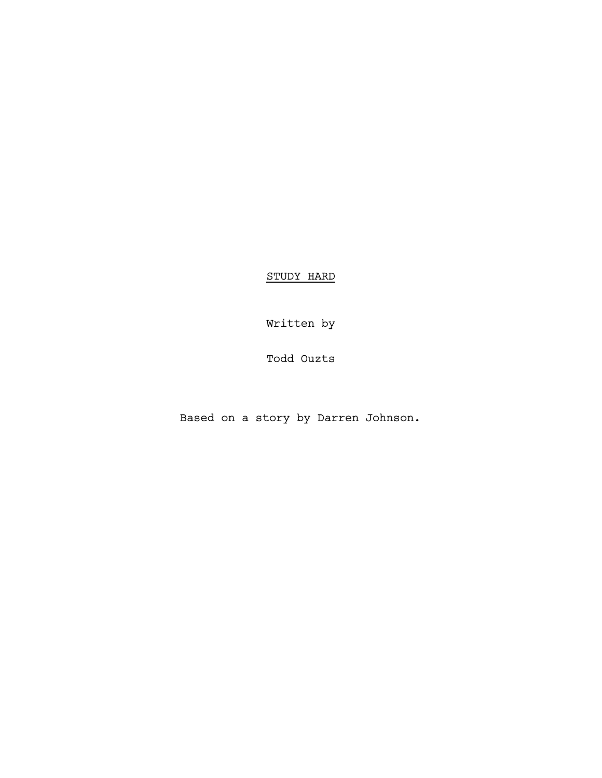STUDY HARD

Written by

Todd Ouzts

Based on a story by Darren Johnson.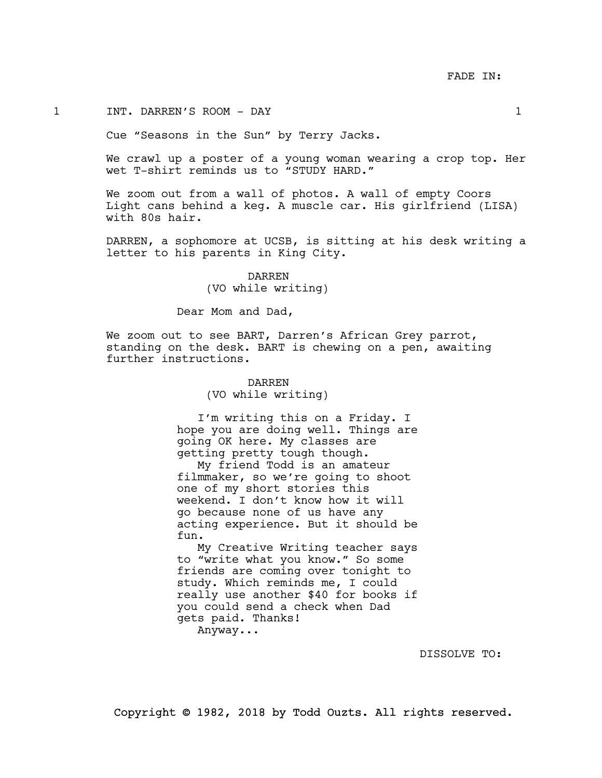#### 1 INT. DARREN'S ROOM - DAY 1

Cue "Seasons in the Sun" by Terry Jacks.

We crawl up a poster of a young woman wearing a crop top. Her wet T-shirt reminds us to "STUDY HARD."

We zoom out from a wall of photos. A wall of empty Coors Light cans behind a keg. A muscle car. His girlfriend (LISA) with 80s hair.

DARREN, a sophomore at UCSB, is sitting at his desk writing a letter to his parents in King City.

> DARREN (VO while writing)

Dear Mom and Dad,

We zoom out to see BART, Darren's African Grey parrot, standing on the desk. BART is chewing on a pen, awaiting further instructions.

## DARREN (VO while writing)

I'm writing this on a Friday. I hope you are doing well. Things are going OK here. My classes are getting pretty tough though.

My friend Todd is an amateur filmmaker, so we're going to shoot one of my short stories this weekend. I don't know how it will go because none of us have any acting experience. But it should be fun.

My Creative Writing teacher says to "write what you know." So some friends are coming over tonight to study. Which reminds me, I could really use another \$40 for books if you could send a check when Dad gets paid. Thanks! Anyway...

DISSOLVE TO: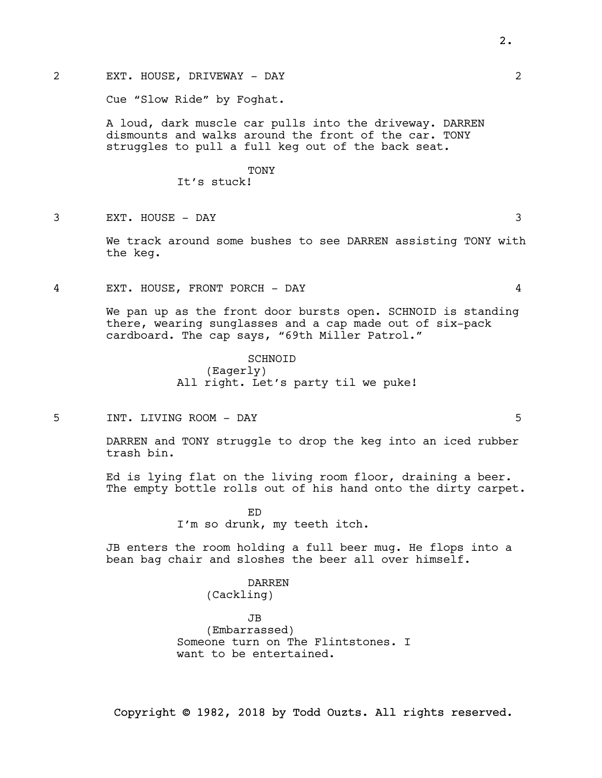2 EXT. HOUSE, DRIVEWAY - DAY 2

Cue "Slow Ride" by Foghat.

A loud, dark muscle car pulls into the driveway. DARREN dismounts and walks around the front of the car. TONY struggles to pull a full keg out of the back seat.

# TONY

It's stuck!

3 EXT. HOUSE - DAY 3

We track around some bushes to see DARREN assisting TONY with the keg.

4 EXT. HOUSE, FRONT PORCH - DAY 4

We pan up as the front door bursts open. SCHNOID is standing there, wearing sunglasses and a cap made out of six-pack cardboard. The cap says, "69th Miller Patrol."

> **SCHNOTD** (Eagerly) All right. Let's party til we puke!

5 INT. LIVING ROOM - DAY 5

DARREN and TONY struggle to drop the keg into an iced rubber trash bin.

Ed is lying flat on the living room floor, draining a beer. The empty bottle rolls out of his hand onto the dirty carpet.

> ED I'm so drunk, my teeth itch.

JB enters the room holding a full beer mug. He flops into a bean bag chair and sloshes the beer all over himself.

> DARREN (Cackling)

JB (Embarrassed) Someone turn on The Flintstones. I want to be entertained.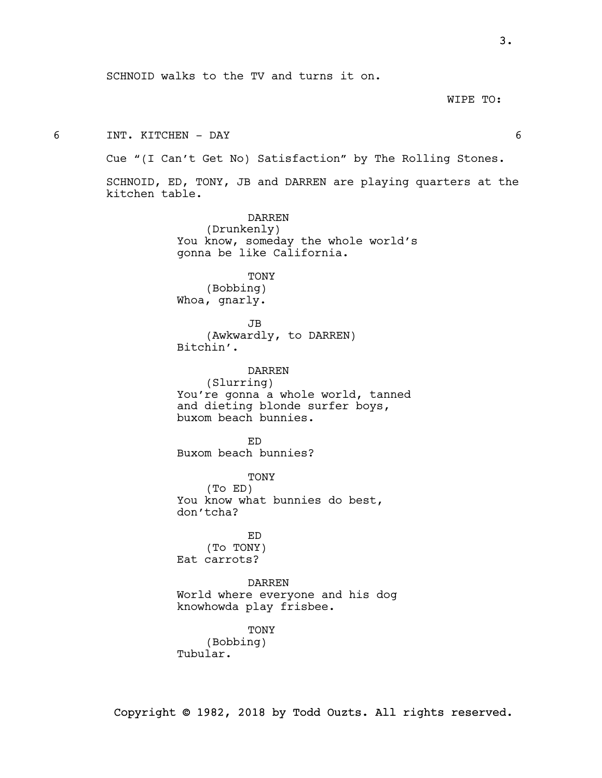WIPE TO:

6 INT. KITCHEN - DAY 6

Cue "(I Can't Get No) Satisfaction" by The Rolling Stones.

SCHNOID, ED, TONY, JB and DARREN are playing quarters at the kitchen table.

> DARREN (Drunkenly) You know, someday the whole world's gonna be like California.

TONY (Bobbing) Whoa, gnarly.

JB (Awkwardly, to DARREN) Bitchin'.

DARREN (Slurring) You're gonna a whole world, tanned and dieting blonde surfer boys, buxom beach bunnies.

ED Buxom beach bunnies?

TONY (To ED) You know what bunnies do best, don'tcha?

ED (To TONY) Eat carrots?

DARREN World where everyone and his dog knowhowda play frisbee.

TONY (Bobbing) Tubular.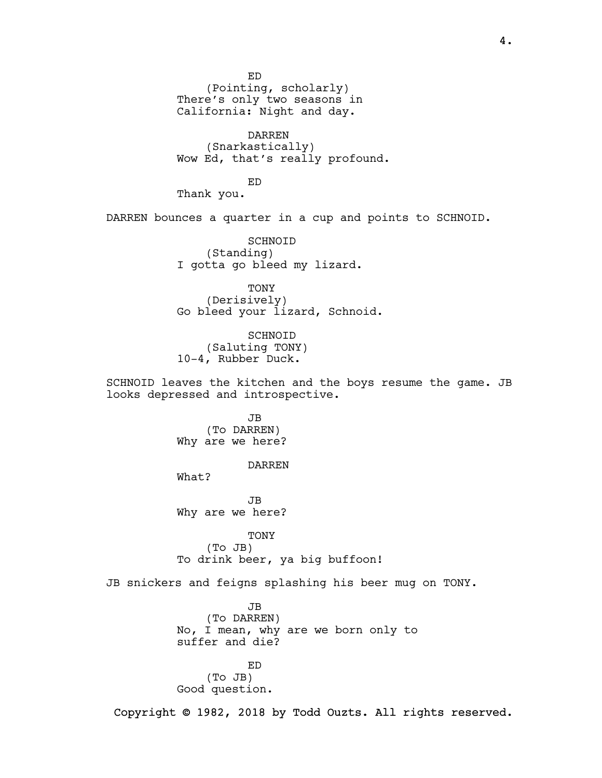ED

(Pointing, scholarly) There's only two seasons in California: Night and day.

DARREN (Snarkastically) Wow Ed, that's really profound.

ED

Thank you.

DARREN bounces a quarter in a cup and points to SCHNOID.

SCHNOID (Standing) I gotta go bleed my lizard.

TONY (Derisively) Go bleed your lizard, Schnoid.

SCHNOID (Saluting TONY) 10-4, Rubber Duck.

SCHNOID leaves the kitchen and the boys resume the game. JB looks depressed and introspective.

> JB (To DARREN) Why are we here?

> > DARREN

What?

JB Why are we here?

TONY (To JB) To drink beer, ya big buffoon!

JB snickers and feigns splashing his beer mug on TONY.

JB (To DARREN) No, I mean, why are we born only to suffer and die?

ED (To JB) Good question.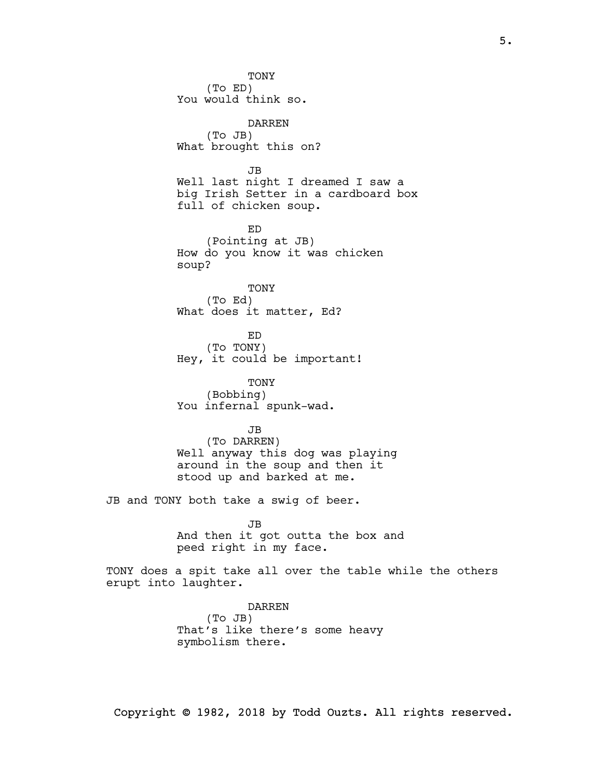TONY (To ED) You would think so. DARREN (To JB) What brought this on? JB Well last night I dreamed I saw a big Irish Setter in a cardboard box full of chicken soup. ED (Pointing at JB) How do you know it was chicken soup? TONY (To Ed) What does it matter, Ed? ED (To TONY) Hey, it could be important! TONY (Bobbing) You infernal spunk-wad. JB (To DARREN) Well anyway this dog was playing around in the soup and then it stood up and barked at me. JB and TONY both take a swig of beer. JB And then it got outta the box and peed right in my face.

TONY does a spit take all over the table while the others erupt into laughter.

> DARREN (To JB) That's like there's some heavy symbolism there.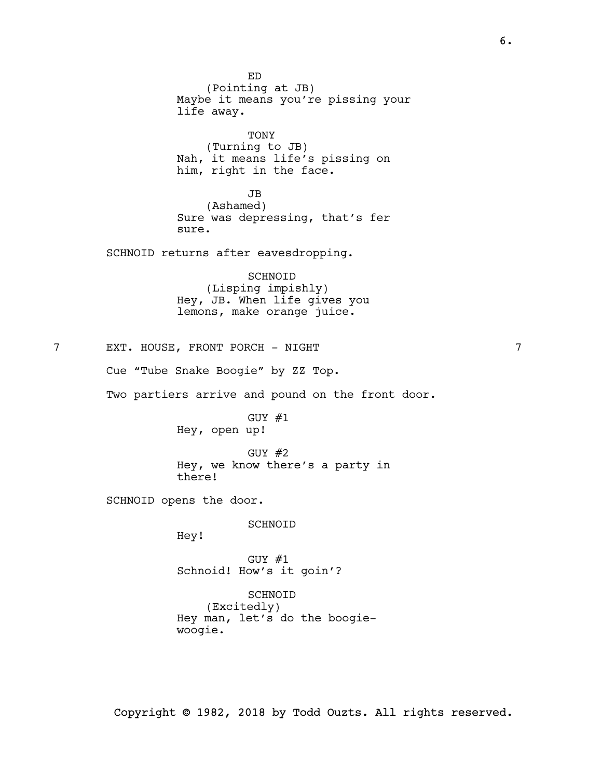ED (Pointing at JB) Maybe it means you're pissing your life away. TONY (Turning to JB) Nah, it means life's pissing on him, right in the face. JB (Ashamed) Sure was depressing, that's fer sure. SCHNOID returns after eavesdropping. SCHNOID (Lisping impishly) Hey, JB. When life gives you lemons, make orange juice. 7 EXT. HOUSE, FRONT PORCH - NIGHT Cue "Tube Snake Boogie" by ZZ Top. Two partiers arrive and pound on the front door. GUY #1 Hey, open up! GUY #2 Hey, we know there's a party in there! SCHNOID opens the door. SCHNOID Hey! GUY #1 Schnoid! How's it goin'? SCHNOID (Excitedly) Hey man, let's do the boogie-

woogie.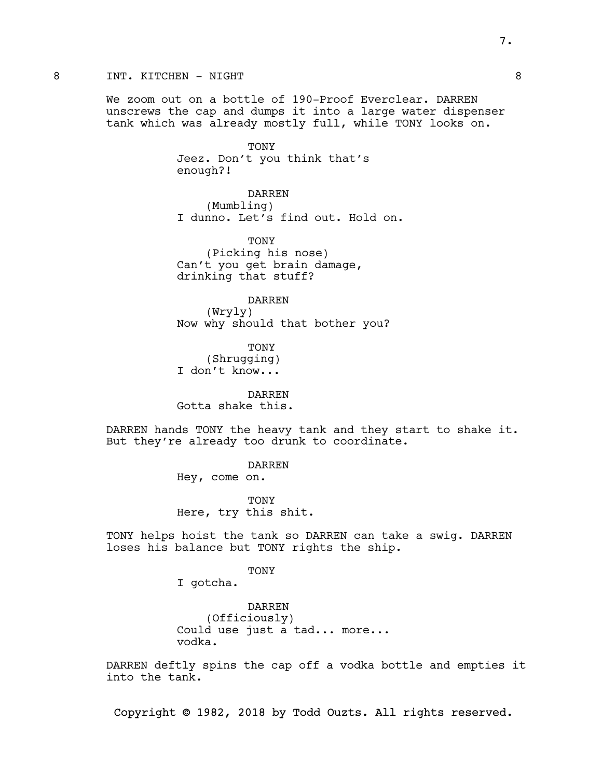## 8 INT. KITCHEN – NIGHT 8

We zoom out on a bottle of 190-Proof Everclear. DARREN unscrews the cap and dumps it into a large water dispenser tank which was already mostly full, while TONY looks on.

> TONY Jeez. Don't you think that's enough?!

DARREN (Mumbling) I dunno. Let's find out. Hold on.

TONY (Picking his nose) Can't you get brain damage, drinking that stuff?

DARREN (Wryly) Now why should that bother you?

TONY (Shrugging) I don't know...

DARREN Gotta shake this.

DARREN hands TONY the heavy tank and they start to shake it. But they're already too drunk to coordinate.

> DARREN Hey, come on.

TONY Here, try this shit.

TONY helps hoist the tank so DARREN can take a swig. DARREN loses his balance but TONY rights the ship.

TONY

I gotcha.

DARREN (Officiously) Could use just a tad... more... vodka.

DARREN deftly spins the cap off a vodka bottle and empties it into the tank.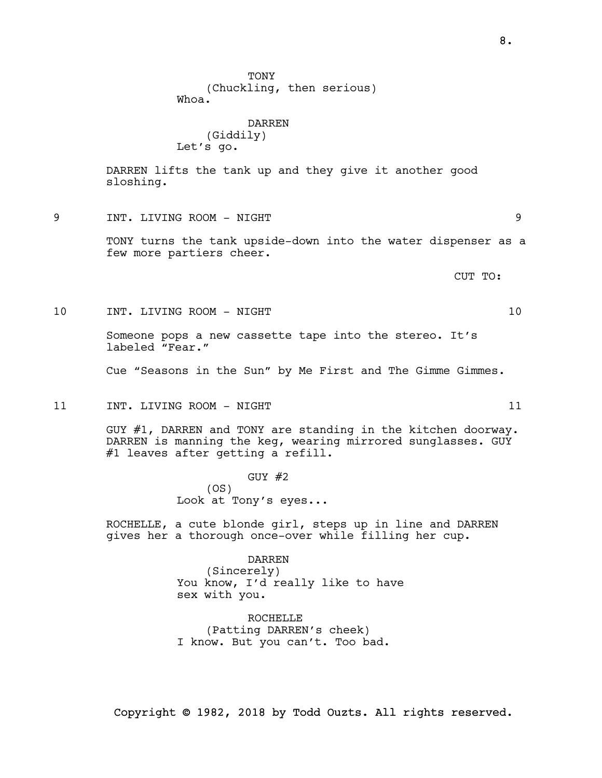**TONY** (Chuckling, then serious) Whoa.

DARREN (Giddily) Let's go.

DARREN lifts the tank up and they give it another good sloshing.

9 INT. LIVING ROOM - NIGHT 9

TONY turns the tank upside-down into the water dispenser as a few more partiers cheer.

CUT TO:

10 INT. LIVING ROOM - NIGHT 10

Someone pops a new cassette tape into the stereo. It's labeled "Fear."

Cue "Seasons in the Sun" by Me First and The Gimme Gimmes.

11 INT. LIVING ROOM - NIGHT 11 21

GUY #1, DARREN and TONY are standing in the kitchen doorway. DARREN is manning the keg, wearing mirrored sunglasses. GUY #1 leaves after getting a refill.

> GUY #2 (OS) Look at Tony's eyes...

ROCHELLE, a cute blonde girl, steps up in line and DARREN gives her a thorough once-over while filling her cup.

> DARREN (Sincerely) You know, I'd really like to have sex with you.

ROCHELLE (Patting DARREN's cheek) I know. But you can't. Too bad.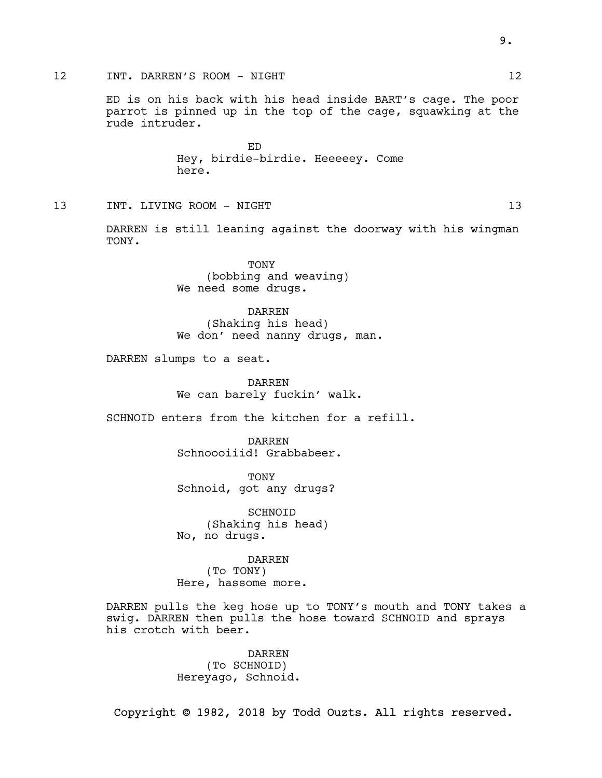### 12 INT. DARREN'S ROOM - NIGHT 12 12

ED is on his back with his head inside BART's cage. The poor parrot is pinned up in the top of the cage, squawking at the rude intruder.

> ED Hey, birdie-birdie. Heeeeey. Come here.

13 INT. LIVING ROOM - NIGHT 13 13

DARREN is still leaning against the doorway with his wingman TONY.

> TONY (bobbing and weaving) We need some drugs.

DARREN (Shaking his head) We don' need nanny drugs, man.

DARREN slumps to a seat.

DARREN We can barely fuckin' walk.

SCHNOID enters from the kitchen for a refill.

DARREN Schnoooiiid! Grabbabeer.

TONY Schnoid, got any drugs?

SCHNOID (Shaking his head) No, no drugs.

DARREN (To TONY) Here, hassome more.

DARREN pulls the keg hose up to TONY's mouth and TONY takes a swig. DARREN then pulls the hose toward SCHNOID and sprays his crotch with beer.

> DARREN (To SCHNOID) Hereyago, Schnoid.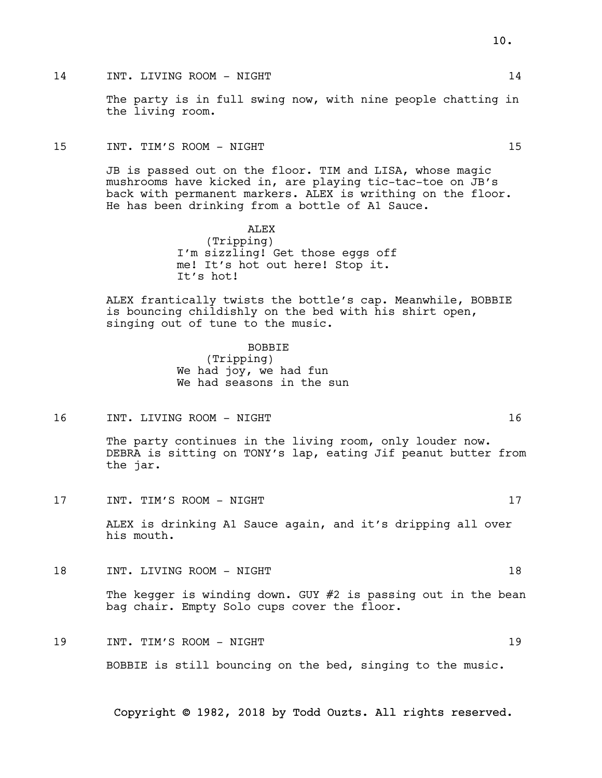The party is in full swing now, with nine people chatting in the living room.

#### 15 INT. TIM'S ROOM - NIGHT 15

JB is passed out on the floor. TIM and LISA, whose magic mushrooms have kicked in, are playing tic-tac-toe on JB's back with permanent markers. ALEX is writhing on the floor. He has been drinking from a bottle of A1 Sauce.

> ALEX (Tripping) I'm sizzling! Get those eggs off me! It's hot out here! Stop it. It's hot!

ALEX frantically twists the bottle's cap. Meanwhile, BOBBIE is bouncing childishly on the bed with his shirt open, singing out of tune to the music.

> BOBBIE (Tripping) We had joy, we had fun We had seasons in the sun

16 INT. LIVING ROOM - NIGHT 16

The party continues in the living room, only louder now. DEBRA is sitting on TONY's lap, eating Jif peanut butter from the jar.

17 INT. TIM'S ROOM - NIGHT 17

ALEX is drinking A1 Sauce again, and it's dripping all over his mouth.

18 INT. LIVING ROOM - NIGHT 18

The kegger is winding down. GUY #2 is passing out in the bean bag chair. Empty Solo cups cover the floor.

19 INT. TIM'S ROOM - NIGHT 19 BOBBIE is still bouncing on the bed, singing to the music.